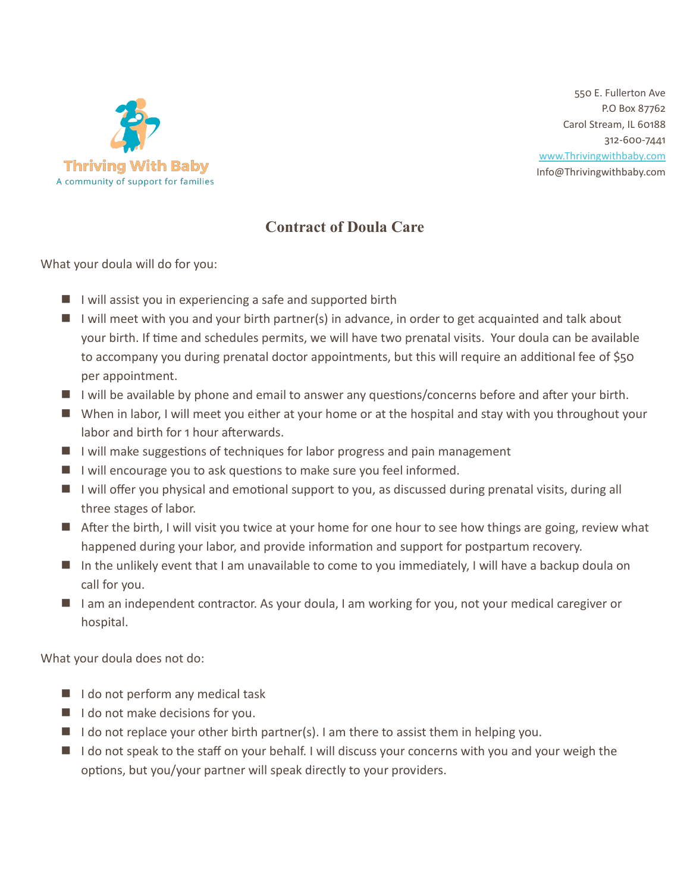

550 E. Fullerton Ave P.O Box 87762 Carol Stream, IL 60188 312-600-7441 [www.Thrivingwithbaby.com](http://www.thrivingwithbaby.com/) Info@Thrivingwithbaby.com

## **Contract of Doula Care**

What your doula will do for you:

- $\blacksquare$  I will assist you in experiencing a safe and supported birth
- I I will meet with you and your birth partner(s) in advance, in order to get acquainted and talk about your birth. If time and schedules permits, we will have two prenatal visits. Your doula can be available to accompany you during prenatal doctor appointments, but this will require an additional fee of \$50 per appointment.
- $\blacksquare$  I will be available by phone and email to answer any questions/concerns before and after your birth.
- When in labor, I will meet you either at your home or at the hospital and stay with you throughout your labor and birth for 1 hour afterwards.
- I I will make suggestions of techniques for labor progress and pain management
- I I will encourage you to ask questions to make sure you feel informed.
- I I will offer you physical and emotional support to you, as discussed during prenatal visits, during all three stages of labor.
- **E** After the birth, I will visit you twice at your home for one hour to see how things are going, review what happened during your labor, and provide information and support for postpartum recovery.
- In the unlikely event that I am unavailable to come to you immediately, I will have a backup doula on call for you.
- I am an independent contractor. As your doula, I am working for you, not your medical caregiver or hospital.

What your doula does not do:

- $\blacksquare$  I do not perform any medical task
- $\blacksquare$  I do not make decisions for you.
- I do not replace your other birth partner(s). I am there to assist them in helping you.
- $\blacksquare$  I do not speak to the staff on your behalf. I will discuss your concerns with you and your weigh the options, but you/your partner will speak directly to your providers.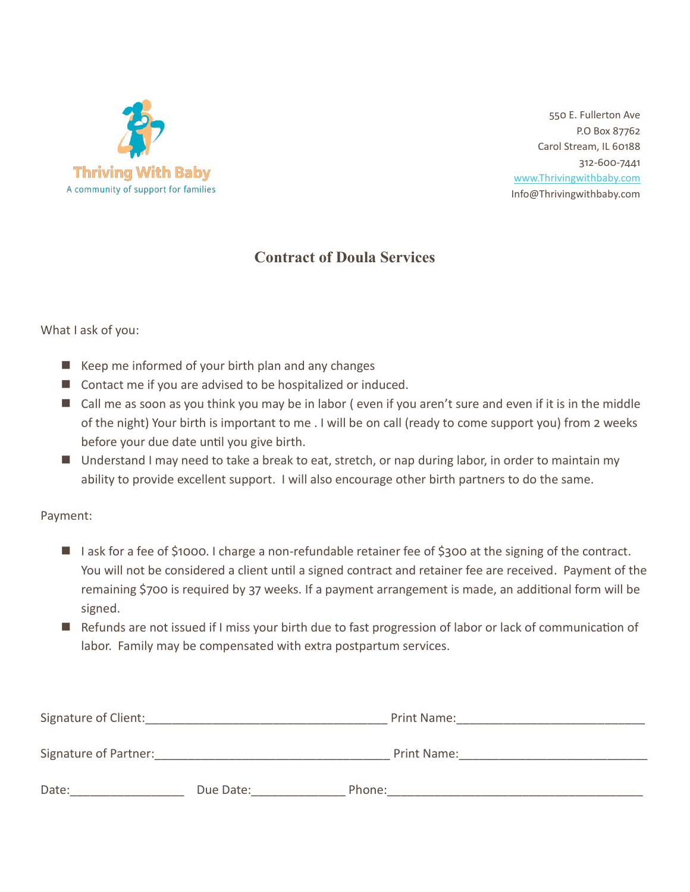

550 E. Fullerton Ave P.O Box 87762 Carol Stream, IL 60188 312-600-7441 [www.Thrivingwithbaby.com](http://www.thrivingwithbaby.com/) Info@Thrivingwithbaby.com

## **Contract of Doula Services**

### What I ask of you:

- $\blacksquare$  Keep me informed of your birth plan and any changes
- Contact me if you are advised to be hospitalized or induced.
- $\blacksquare$  Call me as soon as you think you may be in labor (even if you aren't sure and even if it is in the middle of the night) Your birth is important to me . I will be on call (ready to come support you) from 2 weeks before your due date until you give birth.
- Understand I may need to take a break to eat, stretch, or nap during labor, in order to maintain my ability to provide excellent support. I will also encourage other birth partners to do the same.

#### Payment:

- I I ask for a fee of \$1000. I charge a non-refundable retainer fee of \$300 at the signing of the contract. You will not be considered a client until a signed contract and retainer fee are received. Payment of the remaining \$700 is required by 37 weeks. If a payment arrangement is made, an additional form will be signed.
- Refunds are not issued if I miss your birth due to fast progression of labor or lack of communication of labor. Family may be compensated with extra postpartum services.

| Signature of Client:  |           | Print Name: |
|-----------------------|-----------|-------------|
| Signature of Partner: |           | Print Name: |
|                       |           |             |
| Date:                 | Due Date: | Phone:      |